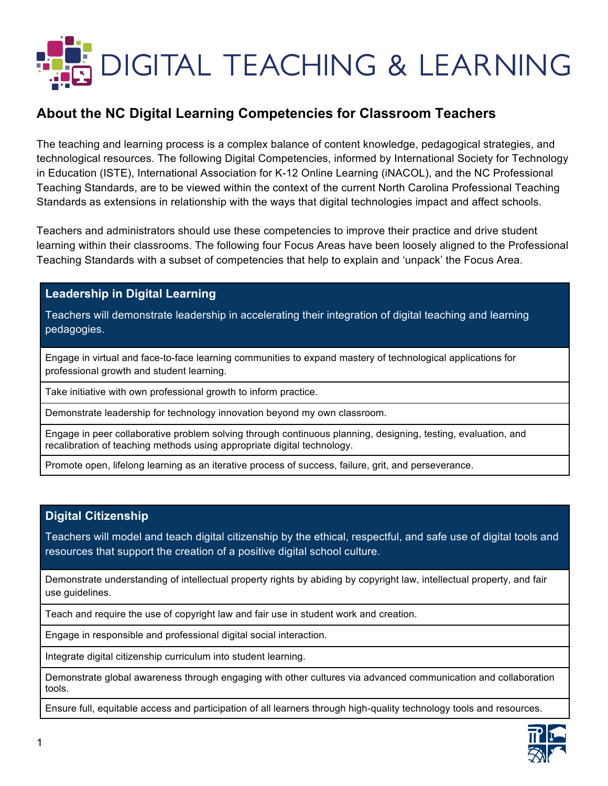

## **About the NC Digital Learning Competencies for Classroom Teachers**

The teaching and learning process is a complex balance of content knowledge, pedagogical strategies, and technological resources. The following Digital Competencies, informed by International Society for Technology in Education (ISTE), International Association for K-12 Online Learning (iNACOL), and the NC Professional Teaching Standards, are to be viewed within the context of the current North Carolina Professional Teaching Standards as extensions in relationship with the ways that digital technologies impact and affect schools.

Teachers and administrators should use these competencies to improve their practice and drive student learning within their classrooms. The following four Focus Areas have been loosely aligned to the Professional Teaching Standards with a subset of competencies that help to explain and 'unpack' the Focus Area.

### **Leadership in Digital Learning**

Teachers will demonstrate leadership in accelerating their integration of digital teaching and learning pedagogies.

Engage in virtual and face-to-face learning communities to expand mastery of technological applications for professional growth and student learning.

Take initiative with own professional growth to inform practice.

Demonstrate leadership for technology innovation beyond my own classroom.

Engage in peer collaborative problem solving through continuous planning, designing, testing, evaluation, and recalibration of teaching methods using appropriate digital technology.

Promote open, lifelong learning as an iterative process of success, failure, grit, and perseverance.

### **Digital Citizenship**

Teachers will model and teach digital citizenship by the ethical, respectful, and safe use of digital tools and resources that support the creation of a positive digital school culture.

Demonstrate understanding of intellectual property rights by abiding by copyright law, intellectual property, and fair use guidelines.

Teach and require the use of copyright law and fair use in student work and creation.

Engage in responsible and professional digital social interaction.

Integrate digital citizenship curriculum into student learning.

Demonstrate global awareness through engaging with other cultures via advanced communication and collaboration tools.

Ensure full, equitable access and participation of all learners through high-quality technology tools and resources.